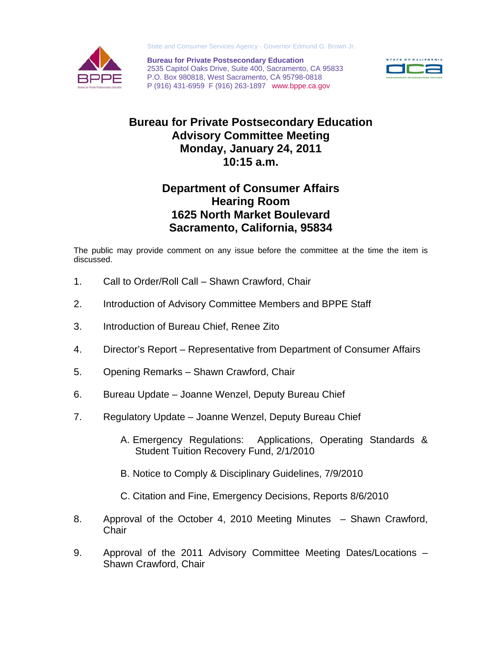

State and Consumer Services Agency - Governor Edmund G. Brown Jr.

**Bureau for Private Postsecondary Education**  2535 Capitol Oaks Drive, Suite 400, Sacramento, CA 95833 P.O. Box 980818, West Sacramento, CA 95798-0818 P (916) 431-6959 F (916) 263-1897 www.bppe.ca.gov



## **Bureau for Private Postsecondary Education Advisory Committee Meeting Monday, January 24, 2011 10:15 a.m.**

## **Department of Consumer Affairs Hearing Room 1625 North Market Boulevard Sacramento, California, 95834**

The public may provide comment on any issue before the committee at the time the item is discussed.

- 1. Call to Order/Roll Call Shawn Crawford, Chair
- 2. Introduction of Advisory Committee Members and BPPE Staff
- 3. Introduction of Bureau Chief, Renee Zito
- 4. Director's Report Representative from Department of Consumer Affairs
- 5. Opening Remarks Shawn Crawford, Chair
- 6. Bureau Update Joanne Wenzel, Deputy Bureau Chief
- 7. Regulatory Update Joanne Wenzel, Deputy Bureau Chief
	- A. Emergency Regulations: Applications, Operating Standards & Student Tuition Recovery Fund, 2/1/2010
	- B. Notice to Comply & Disciplinary Guidelines, 7/9/2010
	- C. Citation and Fine, Emergency Decisions, Reports 8/6/2010
- 8. Approval of the October 4, 2010 Meeting Minutes Shawn Crawford, **Chair**
- 9. Approval of the 2011 Advisory Committee Meeting Dates/Locations Shawn Crawford, Chair